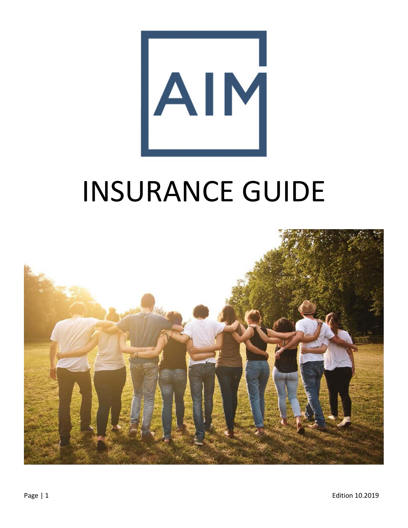

# INSURANCE GUIDE

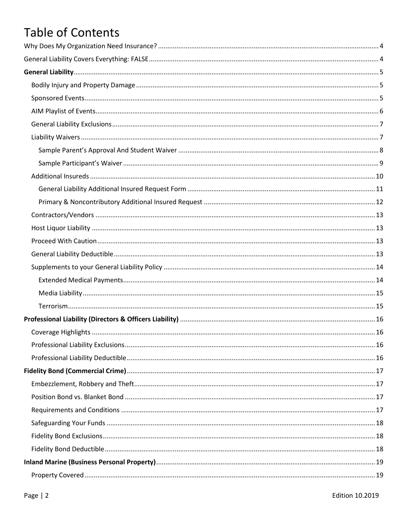# **Table of Contents**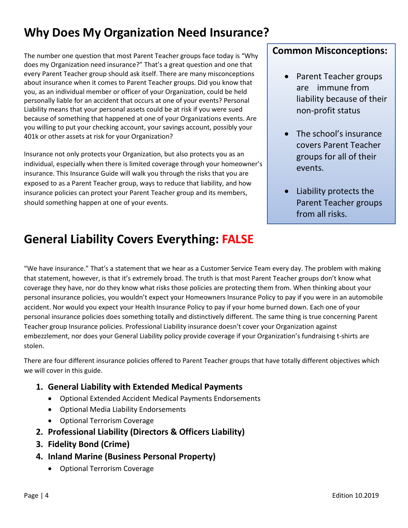# <span id="page-3-0"></span>**Why Does My Organization Need Insurance?**

The number one question that most Parent Teacher groups face today is "Why does my Organization need insurance?" That's a great question and one that every Parent Teacher group should ask itself. There are many misconceptions about insurance when it comes to Parent Teacher groups. Did you know that you, as an individual member or officer of your Organization, could be held personally liable for an accident that occurs at one of your events? Personal Liability means that your personal assets could be at risk if you were sued because of something that happened at one of your Organizations events. Are you willing to put your checking account, your savings account, possibly your 401k or other assets at risk for your Organization?

Insurance not only protects your Organization, but also protects you as an individual, especially when there is limited coverage through your homeowner's insurance. This Insurance Guide will walk you through the risks that you are exposed to as a Parent Teacher group, ways to reduce that liability, and how insurance policies can protect your Parent Teacher group and its members, should something happen at one of your events.

# <span id="page-3-1"></span>**General Liability Covers Everything: FALSE**

#### **Common Misconceptions:**

- Parent Teacher groups are immune from liability because of their non-profit status
- The school's insurance covers Parent Teacher groups for all of their events.
- Liability protects the Parent Teacher groups from all risks.

"We have insurance." That's a statement that we hear as a Customer Service Team every day. The problem with making that statement, however, is that it's extremely broad. The truth is that most Parent Teacher groups don't know what coverage they have, nor do they know what risks those policies are protecting them from. When thinking about your personal insurance policies, you wouldn't expect your Homeowners Insurance Policy to pay if you were in an automobile accident. Nor would you expect your Health Insurance Policy to pay if your home burned down. Each one of your personal insurance policies does something totally and distinctively different. The same thing is true concerning Parent Teacher group Insurance policies. Professional Liability insurance doesn't cover your Organization against embezzlement, nor does your General Liability policy provide coverage if your Organization's fundraising t-shirts are stolen.

There are four different insurance policies offered to Parent Teacher groups that have totally different objectives which we will cover in this guide.

- **1. General Liability with Extended Medical Payments**
	- Optional Extended Accident Medical Payments Endorsements
	- Optional Media Liability Endorsements
	- Optional Terrorism Coverage
- **2. Professional Liability (Directors & Officers Liability)**
- **3. Fidelity Bond (Crime)**
- **4. Inland Marine (Business Personal Property)**
	- Optional Terrorism Coverage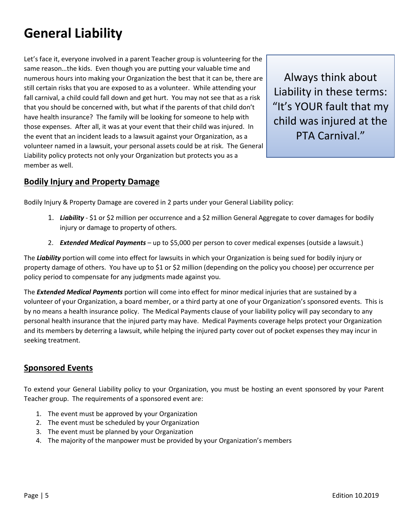# <span id="page-4-0"></span>**General Liability**

Let's face it, everyone involved in a parent Teacher group is volunteering for the same reason…the kids. Even though you are putting your valuable time and numerous hours into making your Organization the best that it can be, there are still certain risks that you are exposed to as a volunteer. While attending your fall carnival, a child could fall down and get hurt. You may not see that as a risk that you should be concerned with, but what if the parents of that child don't have health insurance? The family will be looking for someone to help with those expenses. After all, it was at your event that their child was injured. In the event that an incident leads to a lawsuit against your Organization, as a volunteer named in a lawsuit, your personal assets could be at risk. The General Liability policy protects not only your Organization but protects you as a member as well.

Always think about Liability in these terms: "It's YOUR fault that my child was injured at the PTA Carnival."

#### <span id="page-4-1"></span>**Bodily Injury and Property Damage**

Bodily Injury & Property Damage are covered in 2 parts under your General Liability policy:

- 1. *Liability* \$1 or \$2 million per occurrence and a \$2 million General Aggregate to cover damages for bodily injury or damage to property of others.
- 2. *Extended Medical Payments* up to \$5,000 per person to cover medical expenses (outside a lawsuit.)

The *Liability* portion will come into effect for lawsuits in which your Organization is being sued for bodily injury or property damage of others. You have up to \$1 or \$2 million (depending on the policy you choose) per occurrence per policy period to compensate for any judgments made against you.

The *Extended Medical Payments* portion will come into effect for minor medical injuries that are sustained by a volunteer of your Organization, a board member, or a third party at one of your Organization's sponsored events. This is by no means a health insurance policy. The Medical Payments clause of your liability policy will pay secondary to any personal health insurance that the injured party may have. Medical Payments coverage helps protect your Organization and its members by deterring a lawsuit, while helping the injured party cover out of pocket expenses they may incur in seeking treatment.

#### <span id="page-4-2"></span>**Sponsored Events**

To extend your General Liability policy to your Organization, you must be hosting an event sponsored by your Parent Teacher group. The requirements of a sponsored event are:

- 1. The event must be approved by your Organization
- 2. The event must be scheduled by your Organization
- 3. The event must be planned by your Organization
- 4. The majority of the manpower must be provided by your Organization's members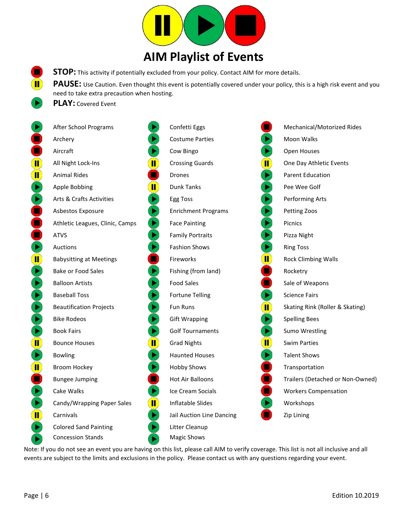

**STOP:** This activity if potentially excluded from your policy. Contact AIM for more details.

PAUSE: Use Caution. Even thought this event is potentially covered under your policy, this is a high risk event and you need to take extra precaution when hosting.

**PLAY:** Covered Event

<span id="page-5-0"></span> $\mathbf{T}$ 

|               | After School Programs                                                             | Confetti Eggs              |                               | Mechanical/Motorized Rides       |
|---------------|-----------------------------------------------------------------------------------|----------------------------|-------------------------------|----------------------------------|
|               | Archery                                                                           | <b>Costume Parties</b>     |                               | Moon Walks                       |
|               | Aircraft                                                                          | Cow Bingo                  |                               | Open Houses                      |
| $\mathbf{II}$ | $ \hspace{-.06in} \hspace{-.06in} $<br>All Night Lock-Ins                         | <b>Crossing Guards</b>     | $ \mathbf{I} $                | One Day Athletic Events          |
| Ш             | <b>Animal Rides</b>                                                               | <b>Drones</b>              | E                             | <b>Parent Education</b>          |
|               | $ \hspace{-.06in} \hspace{-.06in} $<br>Apple Bobbing                              | <b>Dunk Tanks</b>          | $\blacktriangleright$         | Pee Wee Golf                     |
|               | Arts & Crafts Activities                                                          | Egg Toss                   | $\blacktriangleright$         | Performing Arts                  |
|               | ▶<br>Asbestos Exposure                                                            | <b>Enrichment Programs</b> | $\bullet$                     | Petting Zoos                     |
|               | $\blacktriangleright$<br>Athletic Leagues, Clinic, Camps                          | <b>Face Painting</b>       | $\blacktriangleright$         | <b>Picnics</b>                   |
|               | $\blacktriangleright$<br><b>ATVS</b>                                              | <b>Family Portraits</b>    | Þ,                            | Pizza Night                      |
|               | Auctions                                                                          | <b>Fashion Shows</b>       |                               | <b>Ring Toss</b>                 |
| Ш             | <b>Babysitting at Meetings</b>                                                    | Fireworks                  | $\ket{\rm I\!I}$              | <b>Rock Climbing Walls</b>       |
|               | ▶<br><b>Bake or Food Sales</b>                                                    | Fishing (from land)        |                               | Rocketry                         |
|               | Þ<br><b>Balloon Artists</b>                                                       | <b>Food Sales</b>          |                               | Sale of Weapons                  |
|               | Þ<br><b>Baseball Toss</b>                                                         | <b>Fortune Telling</b>     |                               | <b>Science Fairs</b>             |
|               | Þ<br><b>Beautification Projects</b>                                               | Fun Runs                   | $\ket{\rm{II}}$               | Skating Rink (Roller & Skating)  |
|               | <b>Bike Rodeos</b>                                                                | <b>Gift Wrapping</b>       |                               | <b>Spelling Bees</b>             |
|               | ▶<br><b>Book Fairs</b>                                                            | <b>Golf Tournaments</b>    | E                             | Sumo Wrestling                   |
| Ш             | $ \hspace{-.06in} \hspace{-.06in} $<br><b>Bounce Houses</b>                       | <b>Grad Nights</b>         | $\left( \blacksquare \right)$ | <b>Swim Parties</b>              |
|               | <b>Bowling</b>                                                                    | <b>Haunted Houses</b>      | P                             | <b>Talent Shows</b>              |
| Ш             | Broom Hockey                                                                      | <b>Hobby Shows</b>         |                               | Transportation                   |
|               | <b>Bungee Jumping</b>                                                             | <b>Hot Air Balloons</b>    |                               | Trailers (Detached or Non-Owned) |
|               | Cake Walks                                                                        | Ice Cream Socials          |                               | <b>Workers Compensation</b>      |
|               | $\vert \hspace{-.06in} \vert \hspace{-.06in} \vert$<br>Candy/Wrapping Paper Sales | Inflatable Slides          |                               | Workshops                        |
| Ш             | Carnivals                                                                         | Jail Auction Line Dancing  |                               | Zip Lining                       |
|               | <b>Colored Sand Painting</b>                                                      | Litter Cleanup             |                               |                                  |
|               | <b>Concession Stands</b>                                                          | <b>Magic Shows</b>         |                               |                                  |

Note: If you do not see an event you are having on this list, please call AIM to verify coverage. This list is not all inclusive and all events are subject to the limits and exclusions in the policy. Please contact us with any questions regarding your event.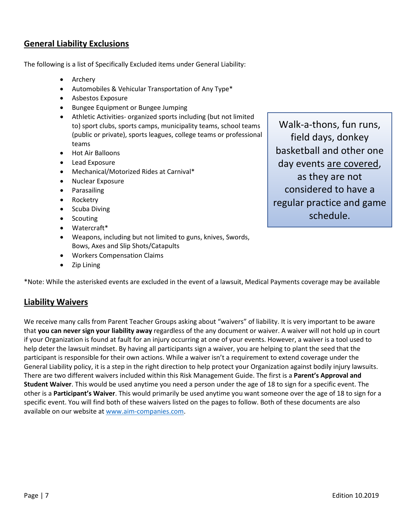#### <span id="page-6-0"></span>**General Liability Exclusions**

The following is a list of Specifically Excluded items under General Liability:

- Archery
- Automobiles & Vehicular Transportation of Any Type\*
- Asbestos Exposure
- Bungee Equipment or Bungee Jumping
- Athletic Activities- organized sports including (but not limited to) sport clubs, sports camps, municipality teams, school teams (public or private), sports leagues, college teams or professional teams
- Hot Air Balloons
- Lead Exposure
- Mechanical/Motorized Rides at Carnival\*
- Nuclear Exposure
- Parasailing
- Rocketry
- Scuba Diving
- Scouting
- Watercraft\*
- Weapons, including but not limited to guns, knives, Swords, Bows, Axes and Slip Shots/Catapults
- Workers Compensation Claims
- Zip Lining

\*Note: While the asterisked events are excluded in the event of a lawsuit, Medical Payments coverage may be available

#### <span id="page-6-1"></span>**Liability Waivers**

We receive many calls from Parent Teacher Groups asking about "waivers" of liability. It is very important to be aware that **you can never sign your liability away** regardless of the any document or waiver. A waiver will not hold up in court if your Organization is found at fault for an injury occurring at one of your events. However, a waiver is a tool used to help deter the lawsuit mindset. By having all participants sign a waiver, you are helping to plant the seed that the participant is responsible for their own actions. While a waiver isn't a requirement to extend coverage under the General Liability policy, it is a step in the right direction to help protect your Organization against bodily injury lawsuits. There are two different waivers included within this Risk Management Guide. The first is a **Parent's Approval and Student Waiver**. This would be used anytime you need a person under the age of 18 to sign for a specific event. The other is a **Participant's Waiver**. This would primarily be used anytime you want someone over the age of 18 to sign for a specific event. You will find both of these waivers listed on the pages to follow. Both of these documents are also available on our website at www.aim-companies.com.

Walk-a-thons, fun runs, field days, donkey basketball and other one day events are covered, as they are not considered to have a regular practice and game schedule.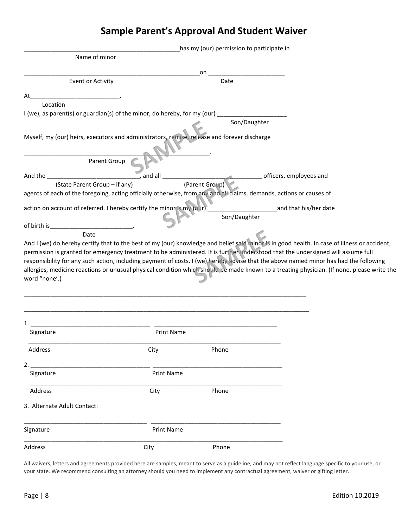## **Sample Parent's Approval And Student Waiver**

<span id="page-7-0"></span>

|                                                                                                                      |                   | has my (our) permission to participate in |                                                                                                                                                                                                                                                                                                                                                                                                                         |
|----------------------------------------------------------------------------------------------------------------------|-------------------|-------------------------------------------|-------------------------------------------------------------------------------------------------------------------------------------------------------------------------------------------------------------------------------------------------------------------------------------------------------------------------------------------------------------------------------------------------------------------------|
| Name of minor                                                                                                        |                   |                                           |                                                                                                                                                                                                                                                                                                                                                                                                                         |
|                                                                                                                      |                   | on                                        |                                                                                                                                                                                                                                                                                                                                                                                                                         |
| Event or Activity                                                                                                    |                   | Date                                      |                                                                                                                                                                                                                                                                                                                                                                                                                         |
| At                                                                                                                   |                   |                                           |                                                                                                                                                                                                                                                                                                                                                                                                                         |
| Location                                                                                                             |                   |                                           |                                                                                                                                                                                                                                                                                                                                                                                                                         |
| I (we), as parent(s) or guardian(s) of the minor, do hereby, for my (our) _                                          |                   |                                           |                                                                                                                                                                                                                                                                                                                                                                                                                         |
|                                                                                                                      |                   | Son/Daughter                              |                                                                                                                                                                                                                                                                                                                                                                                                                         |
| Myself, my (our) heirs, executors and administrators, remise, release and forever discharge                          |                   |                                           |                                                                                                                                                                                                                                                                                                                                                                                                                         |
| Parent Group                                                                                                         |                   |                                           |                                                                                                                                                                                                                                                                                                                                                                                                                         |
| And the                                                                                                              | $\_$ and all $\_$ |                                           | officers, employees and                                                                                                                                                                                                                                                                                                                                                                                                 |
| (State Parent Group - if any)                                                                                        |                   | (Parent Group)                            |                                                                                                                                                                                                                                                                                                                                                                                                                         |
| agents of each of the foregoing, acting officially otherwise, from any and all claims, demands, actions or causes of |                   |                                           |                                                                                                                                                                                                                                                                                                                                                                                                                         |
| action on account of referred. I hereby certify the minor is my (our)                                                |                   | Son/Daughter                              | ______and that his/her date                                                                                                                                                                                                                                                                                                                                                                                             |
| of birth is                                                                                                          |                   |                                           |                                                                                                                                                                                                                                                                                                                                                                                                                         |
| Date                                                                                                                 |                   |                                           |                                                                                                                                                                                                                                                                                                                                                                                                                         |
| word "none'.)                                                                                                        |                   |                                           | permission is granted for emergency treatment to be administered. It is further understood that the undersigned will assume full<br>responsibility for any such action, including payment of costs. I (we) hereby advise that the above named minor has had the following<br>allergies, medicine reactions or unusual physical condition which should be made known to a treating physician. (If none, please write the |
|                                                                                                                      |                   |                                           |                                                                                                                                                                                                                                                                                                                                                                                                                         |
|                                                                                                                      |                   |                                           |                                                                                                                                                                                                                                                                                                                                                                                                                         |
| Signature                                                                                                            | <b>Print Name</b> |                                           |                                                                                                                                                                                                                                                                                                                                                                                                                         |
| Address                                                                                                              | City              | Phone                                     |                                                                                                                                                                                                                                                                                                                                                                                                                         |
|                                                                                                                      |                   |                                           |                                                                                                                                                                                                                                                                                                                                                                                                                         |
| 2.<br>Signature                                                                                                      | <b>Print Name</b> |                                           |                                                                                                                                                                                                                                                                                                                                                                                                                         |
| Address                                                                                                              | City              | Phone                                     |                                                                                                                                                                                                                                                                                                                                                                                                                         |
| 3. Alternate Adult Contact:                                                                                          |                   |                                           |                                                                                                                                                                                                                                                                                                                                                                                                                         |
| Signature                                                                                                            | <b>Print Name</b> |                                           |                                                                                                                                                                                                                                                                                                                                                                                                                         |
| Address                                                                                                              | City              | Phone                                     |                                                                                                                                                                                                                                                                                                                                                                                                                         |

All waivers, letters and agreements provided here are samples, meant to serve as a guideline, and may not reflect language specific to your use, or your state. We recommend consulting an attorney should you need to implement any contractual agreement, waiver or gifting letter.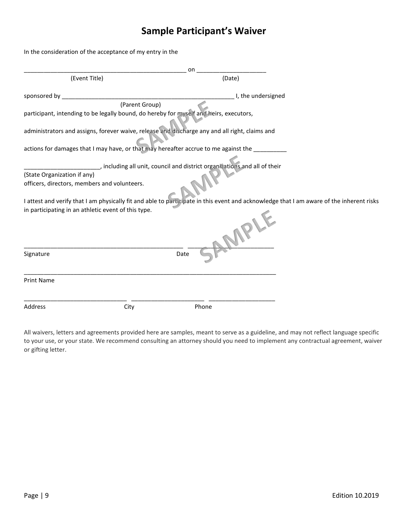## **Sample Participant's Waiver**

<span id="page-8-0"></span>In the consideration of the acceptance of my entry in the

|                                                                                                                                          | on             |                                                                            |  |
|------------------------------------------------------------------------------------------------------------------------------------------|----------------|----------------------------------------------------------------------------|--|
| (Event Title)                                                                                                                            |                | (Date)                                                                     |  |
| sponsored by _                                                                                                                           |                | I, the undersigned                                                         |  |
|                                                                                                                                          | (Parent Group) |                                                                            |  |
| participant, intending to be legally bound, do hereby for myself and heirs, executors,                                                   |                |                                                                            |  |
| administrators and assigns, forever waive, release and discharge any and all right, claims and                                           |                |                                                                            |  |
| actions for damages that I may have, or that may hereafter accrue to me against the __________                                           |                |                                                                            |  |
|                                                                                                                                          |                | _, including all unit, council and district organizations and all of their |  |
| (State Organization if any)                                                                                                              |                |                                                                            |  |
| officers, directors, members and volunteers.                                                                                             |                |                                                                            |  |
| I attest and verify that I am physically fit and able to participate in this event and acknowledge that I am aware of the inherent risks |                |                                                                            |  |
| in participating in an athletic event of this type.                                                                                      |                | AMPLE                                                                      |  |
| Signature                                                                                                                                | Date           |                                                                            |  |
| <b>Print Name</b>                                                                                                                        |                |                                                                            |  |
| Address<br>City                                                                                                                          |                | Phone                                                                      |  |

All waivers, letters and agreements provided here are samples, meant to serve as a guideline, and may not reflect language specific to your use, or your state. We recommend consulting an attorney should you need to implement any contractual agreement, waiver or gifting letter.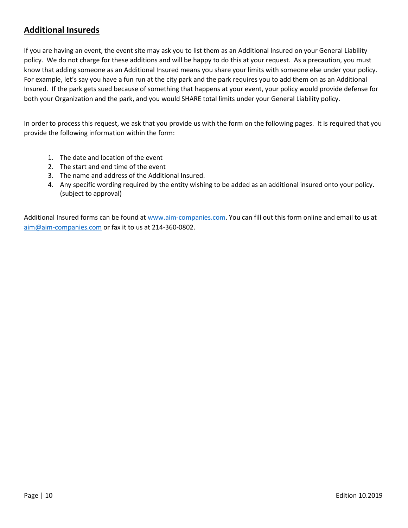#### <span id="page-9-0"></span>**Additional Insureds**

If you are having an event, the event site may ask you to list them as an Additional Insured on your General Liability policy. We do not charge for these additions and will be happy to do this at your request. As a precaution, you must know that adding someone as an Additional Insured means you share your limits with someone else under your policy. For example, let's say you have a fun run at the city park and the park requires you to add them on as an Additional Insured. If the park gets sued because of something that happens at your event, your policy would provide defense for both your Organization and the park, and you would SHARE total limits under your General Liability policy.

In order to process this request, we ask that you provide us with the form on the following pages. It is required that you provide the following information within the form:

- 1. The date and location of the event
- 2. The start and end time of the event
- 3. The name and address of the Additional Insured.
- 4. Any specific wording required by the entity wishing to be added as an additional insured onto your policy. (subject to approval)

Additional Insured forms can be found a[t www.aim-companies.com.](http://www.aim-companies.com/) You can fill out this form online and email to us at [aim@aim-companies.com](mailto:aim@aim-companies.com) or fax it to us at 214-360-0802.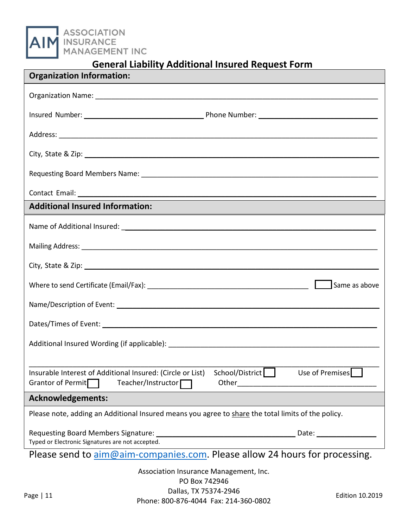ASSOCIATION<br>INSURANCE<br>MANAGEMENT INC

### **General Liability Additional Insured Request Form**

| <b>Organization Information:</b>                                                                                                                                                    |
|-------------------------------------------------------------------------------------------------------------------------------------------------------------------------------------|
|                                                                                                                                                                                     |
|                                                                                                                                                                                     |
|                                                                                                                                                                                     |
|                                                                                                                                                                                     |
|                                                                                                                                                                                     |
|                                                                                                                                                                                     |
| <b>Additional Insured Information:</b>                                                                                                                                              |
|                                                                                                                                                                                     |
| Mailing Address: Lawrence and Contract and Contract and Contract and Contract and Contract and Contract and Co                                                                      |
| City, State & Zip: 2008. The Contract of the City, State & Zip:                                                                                                                     |
| Same as above                                                                                                                                                                       |
|                                                                                                                                                                                     |
|                                                                                                                                                                                     |
|                                                                                                                                                                                     |
|                                                                                                                                                                                     |
| School/District<br>Insurable Interest of Additional Insured: (Circle or List)<br>Use of Premises<br>Grantor of Permit<br>Teacher/Instructor $\Box$<br>Other <u>________________</u> |
| <b>Acknowledgements:</b>                                                                                                                                                            |
| Please note, adding an Additional Insured means you agree to share the total limits of the policy.                                                                                  |
| Date:<br>Typed or Electronic Signatures are not accepted.                                                                                                                           |
| Please send to <i>aim@aim-companies.com</i> . Please allow 24 hours for processing.                                                                                                 |
| Association Insurance Management, Inc.                                                                                                                                              |
| PO Box 742946<br>$D = \begin{bmatrix} 1 & 0 & 0 \\ 0 & 1 & 0 \end{bmatrix}$                                                                                                         |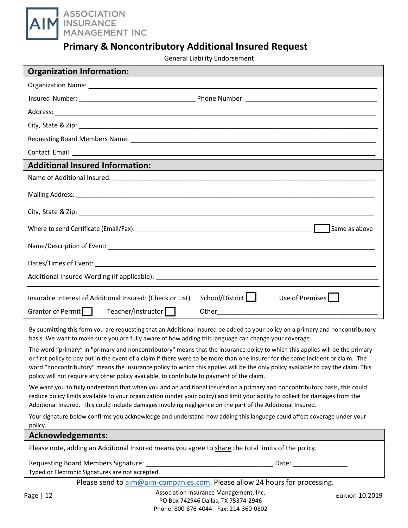

#### **Primary & Noncontributory Additional Insured Request**

General Liability Endorsement

| <b>Organization Information:</b>                                                                                                                                                                                               |                                                             |
|--------------------------------------------------------------------------------------------------------------------------------------------------------------------------------------------------------------------------------|-------------------------------------------------------------|
|                                                                                                                                                                                                                                |                                                             |
|                                                                                                                                                                                                                                |                                                             |
|                                                                                                                                                                                                                                |                                                             |
|                                                                                                                                                                                                                                |                                                             |
|                                                                                                                                                                                                                                |                                                             |
|                                                                                                                                                                                                                                |                                                             |
| <b>Additional Insured Information:</b>                                                                                                                                                                                         | <u> 1989 - Johann Stoff, amerikansk politiker (d. 1989)</u> |
|                                                                                                                                                                                                                                |                                                             |
|                                                                                                                                                                                                                                |                                                             |
|                                                                                                                                                                                                                                |                                                             |
| Where to send Certificate (Email/Fax): Network and the sense of the sense of the sense of the sense of the sense of the sense of the sense of the sense of the sense of the sense of the sense of the sense of the sense of th | Same as above                                               |
|                                                                                                                                                                                                                                |                                                             |
|                                                                                                                                                                                                                                |                                                             |
|                                                                                                                                                                                                                                |                                                             |
| Insurable Interest of Additional Insured: (Check or List)                                                                                                                                                                      | School/District<br>Use of Premises                          |
| Grantor of Permit<br>Teacher/Instructor  <br>Other                                                                                                                                                                             |                                                             |

By submitting this form you are requesting that an Additional Insured be added to your policy on a primary and noncontributory basis. We want to make sure you are fully aware of how adding this language can change your coverage.

The word "primary" in "primary and noncontributory" means that the insurance policy to which this applies will be the primary or first policy to pay out in the event of a claim if there were to be more than one insurer for the same incident or claim. The word "noncontributory" means the insurance policy to which this applies will be the only policy available to pay the claim. This policy will not require any other policy available, to contribute to payment of the claim.

We want you to fully understand that when you add an additional insured on a primary and noncontributory basis, this could reduce policy limits available to your organization (under your policy) and limit your ability to collect for damages from the Additional Insured. This could include damages involving negligence on the part of the Additional Insured.

Your signature below confirms you acknowledge and understand how adding this language could affect coverage under your policy.

| .                 |                                                  |                                                                                                    |                 |
|-------------------|--------------------------------------------------|----------------------------------------------------------------------------------------------------|-----------------|
| Acknowledgements: |                                                  |                                                                                                    |                 |
|                   |                                                  | Please note, adding an Additional Insured means you agree to share the total limits of the policy. |                 |
|                   | <b>Requesting Board Members Signature:</b>       | Date:                                                                                              |                 |
|                   | Typed or Electronic Signatures are not accepted. |                                                                                                    |                 |
|                   |                                                  | Please send to aim@aim-companies.com. Please allow 24 hours for processing.                        |                 |
| Page   12         |                                                  | Association Insurance Management, Inc.                                                             | Edition 10.2019 |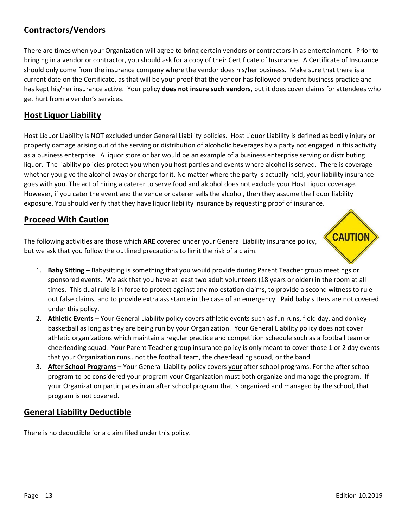#### <span id="page-12-0"></span>**Contractors/Vendors**

There are timeswhen your Organization will agree to bring certain vendors or contractors in as entertainment. Prior to bringing in a vendor or contractor, you should ask for a copy of their Certificate of Insurance. A Certificate of Insurance should only come from the insurance company where the vendor does his/her business. Make sure that there is a current date on the Certificate, as that will be your proof that the vendor has followed prudent business practice and has kept his/her insurance active. Your policy **does not insure such vendors**, but it does cover claims for attendees who get hurt from a vendor's services.

#### <span id="page-12-1"></span>**Host Liquor Liability**

Host Liquor Liability is NOT excluded under General Liability policies. Host Liquor Liability is defined as bodily injury or property damage arising out of the serving or distribution of alcoholic beverages by a party not engaged in this activity as a business enterprise. A liquor store or bar would be an example of a business enterprise serving or distributing liquor. The liability policies protect you when you host parties and events where alcohol is served. There is coverage whether you give the alcohol away or charge for it. No matter where the party is actually held, your liability insurance goes with you. The act of hiring a caterer to serve food and alcohol does not exclude your Host Liquor coverage. However, if you cater the event and the venue or caterer sells the alcohol, then they assume the liquor liability exposure. You should verify that they have liquor liability insurance by requesting proof of insurance.

#### <span id="page-12-2"></span>**Proceed With Caution**

The following activities are those which **ARE** covered under your General Liability insurance policy, but we ask that you follow the outlined precautions to limit the risk of a claim.



- 1. **Baby Sitting** Babysitting is something that you would provide during Parent Teacher group meetings or sponsored events. We ask that you have at least two adult volunteers (18 years or older) in the room at all times. This dual rule is in force to protect against any molestation claims, to provide a second witness to rule out false claims, and to provide extra assistance in the case of an emergency. **Paid** baby sitters are not covered under this policy.
- 2. **Athletic Events** Your General Liability policy covers athletic events such as fun runs, field day, and donkey basketball as long as they are being run by your Organization. Your General Liability policy does not cover athletic organizations which maintain a regular practice and competition schedule such as a football team or cheerleading squad. Your Parent Teacher group insurance policy is only meant to cover those 1 or 2 day events that your Organization runs…not the football team, the cheerleading squad, or the band.
- 3. **After School Programs** Your General Liability policy covers your after school programs. For the after school program to be considered your program your Organization must both organize and manage the program. If your Organization participates in an after school program that is organized and managed by the school, that program is not covered.

#### <span id="page-12-3"></span>**General Liability Deductible**

There is no deductible for a claim filed under this policy.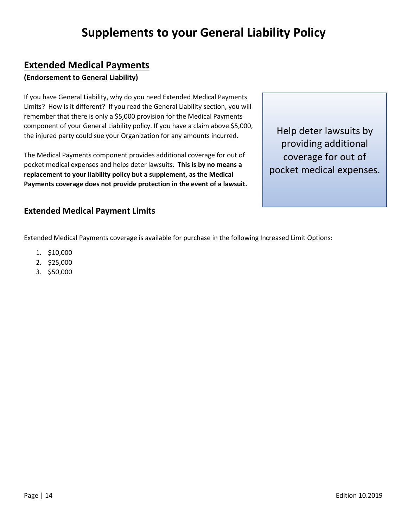# **Supplements to your General Liability Policy**

#### <span id="page-13-1"></span><span id="page-13-0"></span>**Extended Medical Payments**

#### **(Endorsement to General Liability)**

If you have General Liability, why do you need Extended Medical Payments Limits? How is it different? If you read the General Liability section, you will remember that there is only a \$5,000 provision for the Medical Payments component of your General Liability policy. If you have a claim above \$5,000, the injured party could sue your Organization for any amounts incurred.

The Medical Payments component provides additional coverage for out of pocket medical expenses and helps deter lawsuits. **This is by no means a replacement to your liability policy but a supplement, as the Medical Payments coverage does not provide protection in the event of a lawsuit.** 

Help deter lawsuits by providing additional coverage for out of pocket medical expenses.

#### **Extended Medical Payment Limits**

Extended Medical Payments coverage is available for purchase in the following Increased Limit Options:

- 1. \$10,000
- 2. \$25,000
- 3. \$50,000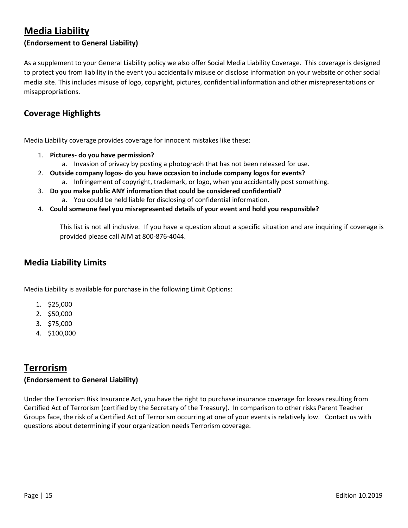#### <span id="page-14-0"></span>**Media Liability**

#### **(Endorsement to General Liability)**

As a supplement to your General Liability policy we also offer Social Media Liability Coverage. This coverage is designed to protect you from liability in the event you accidentally misuse or disclose information on your website or other social media site. This includes misuse of logo, copyright, pictures, confidential information and other misrepresentations or misappropriations.

#### **Coverage Highlights**

Media Liability coverage provides coverage for innocent mistakes like these:

- 1. **Pictures- do you have permission?** 
	- a. Invasion of privacy by posting a photograph that has not been released for use.
- 2. **Outside company logos- do you have occasion to include company logos for events?**
	- a. Infringement of copyright, trademark, or logo, when you accidentally post something.
- 3. **Do you make public ANY information that could be considered confidential?** 
	- a. You could be held liable for disclosing of confidential information.
- 4. **Could someone feel you misrepresented details of your event and hold you responsible?**

This list is not all inclusive. If you have a question about a specific situation and are inquiring if coverage is provided please call AIM at 800-876-4044.

#### **Media Liability Limits**

Media Liability is available for purchase in the following Limit Options:

- 1. \$25,000
- 2. \$50,000
- 3. \$75,000
- 4. \$100,000

#### <span id="page-14-1"></span>**Terrorism**

#### **(Endorsement to General Liability)**

Under the Terrorism Risk Insurance Act, you have the right to purchase insurance coverage for losses resulting from Certified Act of Terrorism (certified by the Secretary of the Treasury). In comparison to other risks Parent Teacher Groups face, the risk of a Certified Act of Terrorism occurring at one of your events is relatively low. Contact us with questions about determining if your organization needs Terrorism coverage.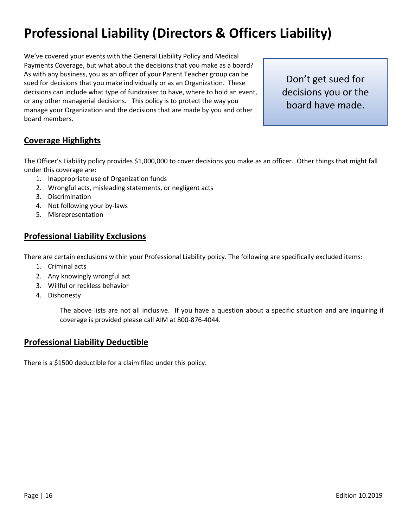# <span id="page-15-0"></span>**Professional Liability (Directors & Officers Liability)**

We've covered your events with the General Liability Policy and Medical Payments Coverage, but what about the decisions that you make as a board? As with any business, you as an officer of your Parent Teacher group can be sued for decisions that you make individually or as an Organization. These decisions can include what type of fundraiser to have, where to hold an event, or any other managerial decisions. This policy is to protect the way you manage your Organization and the decisions that are made by you and other board members.

Don't get sued for decisions you or the board have made.

#### <span id="page-15-1"></span>**Coverage Highlights**

The Officer's Liability policy provides \$1,000,000 to cover decisions you make as an officer. Other things that might fall under this coverage are:

- 1. Inappropriate use of Organization funds
- 2. Wrongful acts, misleading statements, or negligent acts
- 3. Discrimination
- 4. Not following your by-laws
- 5. Misrepresentation

#### <span id="page-15-2"></span>**Professional Liability Exclusions**

There are certain exclusions within your Professional Liability policy. The following are specifically excluded items:

- 1. Criminal acts
- 2. Any knowingly wrongful act
- 3. Willful or reckless behavior
- 4. Dishonesty

The above lists are not all inclusive. If you have a question about a specific situation and are inquiring if coverage is provided please call AIM at 800-876-4044.

#### <span id="page-15-3"></span>**Professional Liability Deductible**

There is a \$1500 deductible for a claim filed under this policy.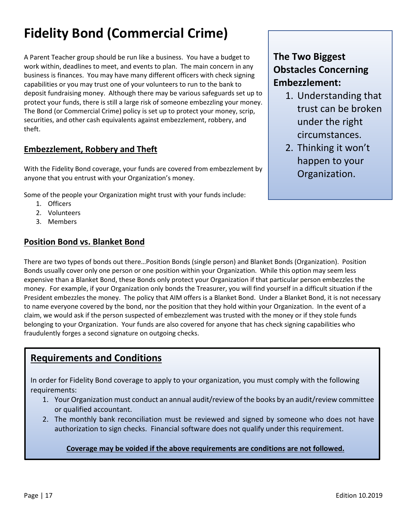# <span id="page-16-0"></span>**Fidelity Bond (Commercial Crime)**

A Parent Teacher group should be run like a business. You have a budget to work within, deadlines to meet, and events to plan. The main concern in any business is finances. You may have many different officers with check signing capabilities or you may trust one of your volunteers to run to the bank to deposit fundraising money. Although there may be various safeguards set up to protect your funds, there is still a large risk of someone embezzling your money. The Bond (or Commercial Crime) policy is set up to protect your money, scrip, securities, and other cash equivalents against embezzlement, robbery, and theft.

### <span id="page-16-1"></span>**Embezzlement, Robbery and Theft**

With the Fidelity Bond coverage, your funds are covered from embezzlement by anyone that you entrust with your Organization's money.

Some of the people your Organization might trust with your funds include:

- 1. Officers
- 2. Volunteers
- 3. Members

#### <span id="page-16-2"></span>**Position Bond vs. Blanket Bond**

### **The Two Biggest Obstacles Concerning Embezzlement:**

- 1. Understanding that trust can be broken under the right circumstances.
- 2. Thinking it won't happen to your Organization.

There are two types of bonds out there…Position Bonds (single person) and Blanket Bonds (Organization). Position Bonds usually cover only one person or one position within your Organization. While this option may seem less expensive than a Blanket Bond, these Bonds only protect your Organization if that particular person embezzles the money. For example, if your Organization only bonds the Treasurer, you will find yourself in a difficult situation if the President embezzles the money. The policy that AIM offers is a Blanket Bond. Under a Blanket Bond, it is not necessary to name everyone covered by the bond, nor the position that they hold within your Organization. In the event of a claim, we would ask if the person suspected of embezzlement was trusted with the money or if they stole funds belonging to your Organization. Your funds are also covered for anyone that has check signing capabilities who fraudulently forges a second signature on outgoing checks.

#### **Requirements and Conditions**

In order for Fidelity Bond coverage to apply to your organization, you must comply with the following requirements:

- 1. Your Organization must conduct an annual audit/review of the books by an audit/review committee or qualified accountant.
- 2. The monthly bank reconciliation must be reviewed and signed by someone who does not have authorization to sign checks. Financial software does not qualify under this requirement.

#### **Coverage may be voided if the above requirements are conditions are not followed.**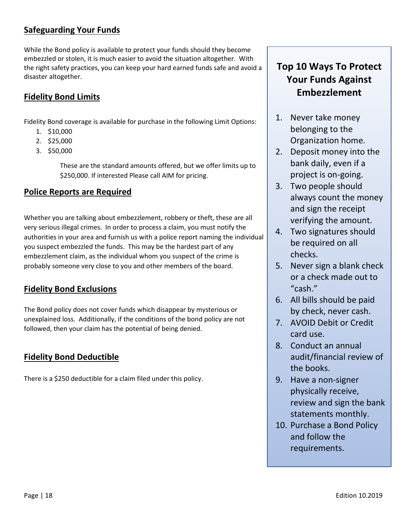#### <span id="page-17-0"></span>**Safeguarding Your Funds**

While the Bond policy is available to protect your funds should they become embezzled or stolen, it is much easier to avoid the situation altogether. With the right safety practices, you can keep your hard earned funds safe and avoid a disaster altogether.

#### **Fidelity Bond Limits**

Fidelity Bond coverage is available for purchase in the following Limit Options:

- 1. \$10,000
- 2. \$25,000
- 3. \$50,000

These are the standard amounts offered, but we offer limits up to \$250,000. If interested Please call AIM for pricing.

#### **Police Reports are Required**

Whether you are talking about embezzlement, robbery or theft, these are all very serious illegal crimes. In order to process a claim, you must notify the authorities in your area and furnish us with a police report naming the individual you suspect embezzled the funds. This may be the hardest part of any embezzlement claim, as the individual whom you suspect of the crime is probably someone very close to you and other members of the board.

#### <span id="page-17-1"></span>**Fidelity Bond Exclusions**

The Bond policy does not cover funds which disappear by mysterious or unexplained loss. Additionally, if the conditions of the bond policy are not followed, then your claim has the potential of being denied.

#### <span id="page-17-2"></span>**Fidelity Bond Deductible**

There is a \$250 deductible for a claim filed under this policy.

## **Top 10 Ways To Protect Your Funds Against Embezzlement**

- 1. Never take money belonging to the Organization home.
- 2. Deposit money into the bank daily, even if a project is on-going.
- 3. Two people should always count the money and sign the receipt verifying the amount.
- 4. Two signatures should be required on all checks.
- 5. Never sign a blank check or a check made out to "cash."
- 6. All bills should be paid by check, never cash.
- 7. AVOID Debit or Credit card use.
- 8. Conduct an annual audit/financial review of the books.
- 9. Have a non-signer physically receive, review and sign the bank statements monthly.
- 10. Purchase a Bond Policy and follow the requirements.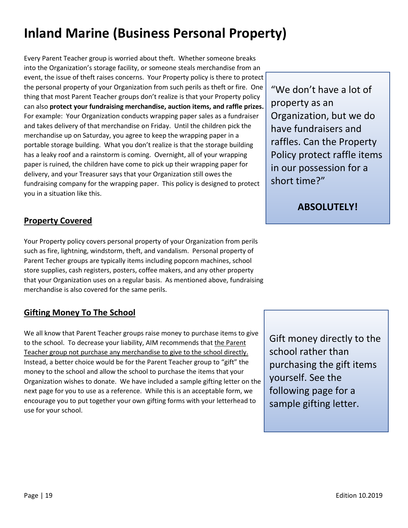# <span id="page-18-0"></span>**Inland Marine (Business Personal Property)**

Every Parent Teacher group is worried about theft. Whether someone breaks into the Organization's storage facility, or someone steals merchandise from an event, the issue of theft raises concerns. Your Property policy is there to protect the personal property of your Organization from such perils as theft or fire. One thing that most Parent Teacher groups don't realize is that your Property policy can also **protect your fundraising merchandise, auction items, and raffle prizes.**  For example: Your Organization conducts wrapping paper sales as a fundraiser and takes delivery of that merchandise on Friday. Until the children pick the merchandise up on Saturday, you agree to keep the wrapping paper in a portable storage building. What you don't realize is that the storage building has a leaky roof and a rainstorm is coming. Overnight, all of your wrapping paper is ruined, the children have come to pick up their wrapping paper for delivery, and your Treasurer says that your Organization still owes the fundraising company for the wrapping paper. This policy is designed to protect you in a situation like this.

<span id="page-18-1"></span>**Property Covered**

Your Property policy covers personal property of your Organization from perils such as fire, lightning, windstorm, theft, and vandalism. Personal property of Parent Techer groups are typically items including popcorn machines, school store supplies, cash registers, posters, coffee makers, and any other property that your Organization uses on a regular basis. As mentioned above, fundraising merchandise is also covered for the same perils.

#### <span id="page-18-2"></span>**Gifting Money To The School**

We all know that Parent Teacher groups raise money to purchase items to give to the school. To decrease your liability, AIM recommends that the Parent Teacher group not purchase any merchandise to give to the school directly. Instead, a better choice would be for the Parent Teacher group to "gift" the money to the school and allow the school to purchase the items that your Organization wishes to donate. We have included a sample gifting letter on the next page for you to use as a reference. While this is an acceptable form, we encourage you to put together your own gifting forms with your letterhead to use for your school.

"We don't have a lot of property as an Organization, but we do have fundraisers and raffles. Can the Property Policy protect raffle items in our possession for a short time?"

**ABSOLUTELY!**

Gift money directly to the school rather than purchasing the gift items yourself. See the following page for a sample gifting letter.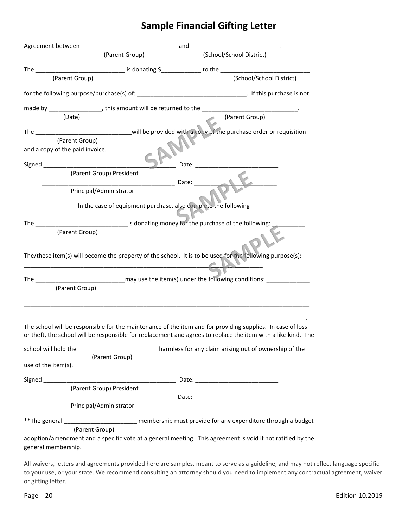## **Sample Financial Gifting Letter**

|                                                                                  | (Parent Group) | (School/School District)                                                                                                                                                                                                       |
|----------------------------------------------------------------------------------|----------------|--------------------------------------------------------------------------------------------------------------------------------------------------------------------------------------------------------------------------------|
|                                                                                  |                |                                                                                                                                                                                                                                |
| (Parent Group)                                                                   |                | (School/School District)                                                                                                                                                                                                       |
|                                                                                  |                | for the following purpose/purchase(s) of: __________________________________. If this purchase is not                                                                                                                          |
| made by __________________, this amount will be returned to the ________________ |                |                                                                                                                                                                                                                                |
| (Date)                                                                           |                | (Parent Group)                                                                                                                                                                                                                 |
|                                                                                  |                |                                                                                                                                                                                                                                |
| (Parent Group)                                                                   |                |                                                                                                                                                                                                                                |
| and a copy of the paid invoice.                                                  |                |                                                                                                                                                                                                                                |
| Signed ___________<br>(Parent Group) President                                   |                | Date: the contract of the contract of the contract of the contract of the contract of the contract of the contract of the contract of the contract of the contract of the contract of the contract of the contract of the cont |
|                                                                                  | Date:          |                                                                                                                                                                                                                                |
| Principal/Administrator                                                          |                |                                                                                                                                                                                                                                |
|                                                                                  |                | ---------------------- In the case of equipment purchase, also complete the following ----------------------                                                                                                                   |
|                                                                                  |                |                                                                                                                                                                                                                                |
| (Parent Group)                                                                   |                |                                                                                                                                                                                                                                |
|                                                                                  |                | The/these item(s) will become the property of the school. It is to be used for the following purpose(s):                                                                                                                       |
|                                                                                  |                |                                                                                                                                                                                                                                |
|                                                                                  |                |                                                                                                                                                                                                                                |
| (Parent Group)                                                                   |                |                                                                                                                                                                                                                                |
|                                                                                  |                | The school will be responsible for the maintenance of the item and for providing supplies. In case of loss                                                                                                                     |
|                                                                                  |                | or theft, the school will be responsible for replacement and agrees to replace the item with a like kind. The                                                                                                                  |
|                                                                                  |                | school will hold the _________________________________harmless for any claim arising out of ownership of the                                                                                                                   |
| use of the item(s).                                                              | (Parent Group) |                                                                                                                                                                                                                                |
|                                                                                  |                |                                                                                                                                                                                                                                |
| (Parent Group) President                                                         |                |                                                                                                                                                                                                                                |
|                                                                                  |                |                                                                                                                                                                                                                                |
| Principal/Administrator                                                          |                |                                                                                                                                                                                                                                |
|                                                                                  |                | ** The general _________________________ membership must provide for any expenditure through a budget                                                                                                                          |
| (Parent Group)                                                                   |                |                                                                                                                                                                                                                                |
| general membership.                                                              |                | adoption/amendment and a specific vote at a general meeting. This agreement is void if not ratified by the                                                                                                                     |
|                                                                                  |                | All waivers letters and agreements provided here are samples meant to serve as a guideline, and may not r                                                                                                                      |

All waivers, letters and agreements provided here are samples, meant to serve as a guideline, and may not reflect language specific to your use, or your state. We recommend consulting an attorney should you need to implement any contractual agreement, waiver or gifting letter.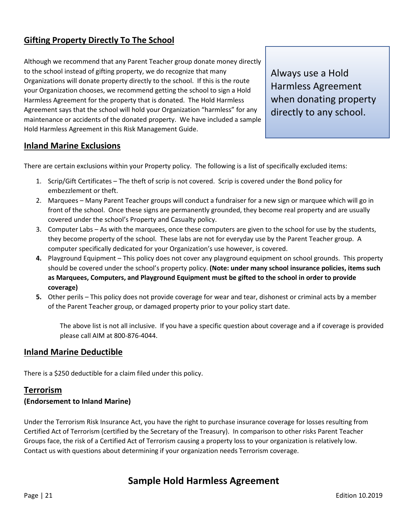#### <span id="page-20-0"></span>**Gifting Property Directly To The School**

Although we recommend that any Parent Teacher group donate money directly to the school instead of gifting property, we do recognize that many Organizations will donate property directly to the school. If this is the route your Organization chooses, we recommend getting the school to sign a Hold Harmless Agreement for the property that is donated. The Hold Harmless Agreement says that the school will hold your Organization "harmless" for any maintenance or accidents of the donated property. We have included a sample Hold Harmless Agreement in this Risk Management Guide.

Always use a Hold Harmless Agreement when donating property directly to any school.

#### <span id="page-20-1"></span>**Inland Marine Exclusions**

There are certain exclusions within your Property policy. The following is a list of specifically excluded items:

- 1. Scrip/Gift Certificates The theft of scrip is not covered. Scrip is covered under the Bond policy for embezzlement or theft.
- 2. Marquees Many Parent Teacher groups will conduct a fundraiser for a new sign or marquee which will go in front of the school. Once these signs are permanently grounded, they become real property and are usually covered under the school's Property and Casualty policy.
- 3. Computer Labs As with the marquees, once these computers are given to the school for use by the students, they become property of the school. These labs are not for everyday use by the Parent Teacher group. A computer specifically dedicated for your Organization's use however, is covered.
- **4.** Playground Equipment This policy does not cover any playground equipment on school grounds. This property should be covered under the school's property policy. **(Note: under many school insurance policies, items such as Marquees, Computers, and Playground Equipment must be gifted to the school in order to provide coverage)**
- **5.** Other perils This policy does not provide coverage for wear and tear, dishonest or criminal acts by a member of the Parent Teacher group, or damaged property prior to your policy start date.

The above list is not all inclusive. If you have a specific question about coverage and a if coverage is provided please call AIM at 800-876-4044.

#### <span id="page-20-2"></span>**Inland Marine Deductible**

There is a \$250 deductible for a claim filed under this policy.

#### <span id="page-20-3"></span>**Terrorism**

#### **(Endorsement to Inland Marine)**

Under the Terrorism Risk Insurance Act, you have the right to purchase insurance coverage for losses resulting from Certified Act of Terrorism (certified by the Secretary of the Treasury). In comparison to other risks Parent Teacher Groups face, the risk of a Certified Act of Terrorism causing a property loss to your organization is relatively low. Contact us with questions about determining if your organization needs Terrorism coverage.

### **Sample Hold Harmless Agreement**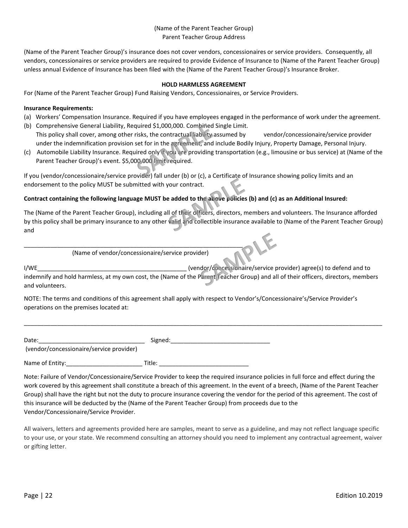#### (Name of the Parent Teacher Group) Parent Teacher Group Address

(Name of the Parent Teacher Group)'s insurance does not cover vendors, concessionaires or service providers. Consequently, all vendors, concessionaires or service providers are required to provide Evidence of Insurance to (Name of the Parent Teacher Group) unless annual Evidence of Insurance has been filed with the (Name of the Parent Teacher Group)'s Insurance Broker.

#### **HOLD HARMLESS AGREEMENT**

For (Name of the Parent Teacher Group) Fund Raising Vendors, Concessionaires, or Service Providers.

#### **Insurance Requirements:**

- (a) Workers' Compensation Insurance. Required if you have employees engaged in the performance of work under the agreement.
- (b) Comprehensive General Liability, Required \$1,000,000. Combined Single Limit. This policy shall cover, among other risks, the contractual liability assumed by vendor/concessionaire/service provider under the indemnification provision set for in the agreement, and include Bodily Injury, Property Damage, Personal Injury.
- (c) Automobile Liability Insurance. Required only if you are providing transportation (e.g., limousine or bus service) at (Name of the Parent Teacher Group)'s event. \$5,000,000 limit required.

If you (vendor/concessionaire/service provider) fall under (b) or (c), a Certificate of Insurance showing policy limits and an endorsement to the policy MUST be submitted with your contract.

#### **Contract containing the following language MUST be added to the above policies (b) and (c) as an Additional Insured:**

The (Name of the Parent Teacher Group), including all of their officers, directors, members and volunteers. The Insurance afforded by this policy shall be primary insurance to any other valid and collectible insurance available to (Name of the Parent Teacher Group) and

(Name of vendor/concessionaire/service provider)

\_\_\_\_\_\_\_\_\_\_\_\_\_\_\_\_\_\_\_\_\_\_\_\_\_\_\_\_\_\_\_\_\_\_\_\_\_\_\_\_\_\_\_\_\_\_\_\_\_\_\_\_\_\_\_\_\_\_\_\_\_\_\_\_\_\_

I/WE\_\_\_\_\_\_\_\_\_\_\_\_\_\_\_\_\_\_\_\_\_\_\_\_\_\_\_\_\_\_\_\_\_\_\_\_\_\_\_\_\_\_\_\_\_ (vendor/concessionaire/service provider) agree(s) to defend and to indemnify and hold harmless, at my own cost, the (Name of the Parent Teacher Group) and all of their officers, directors, members and volunteers.

\_\_\_\_\_\_\_\_\_\_\_\_\_\_\_\_\_\_\_\_\_\_\_\_\_\_\_\_\_\_\_\_\_\_\_\_\_\_\_\_\_\_\_\_\_\_\_\_\_\_\_\_\_\_\_\_\_\_\_\_\_\_\_\_\_\_\_\_\_\_\_\_\_\_\_\_\_\_\_\_\_\_\_\_\_\_\_\_\_\_\_\_\_\_\_\_\_\_\_\_\_\_\_\_\_\_\_\_

NOTE: The terms and conditions of this agreement shall apply with respect to Vendor's/Concessionaire's/Service Provider's operations on the premises located at:

| Date:                                    | Signed: |
|------------------------------------------|---------|
| (vendor/concessionaire/service provider) |         |
| Name of Entity:                          | Title:  |

Note: Failure of Vendor/Concessionaire/Service Provider to keep the required insurance policies in full force and effect during the work covered by this agreement shall constitute a breach of this agreement. In the event of a breech, (Name of the Parent Teacher Group) shall have the right but not the duty to procure insurance covering the vendor for the period of this agreement. The cost of this insurance will be deducted by the (Name of the Parent Teacher Group) from proceeds due to the Vendor/Concessionaire/Service Provider.

All waivers, letters and agreements provided here are samples, meant to serve as a guideline, and may not reflect language specific to your use, or your state. We recommend consulting an attorney should you need to implement any contractual agreement, waiver or gifting letter.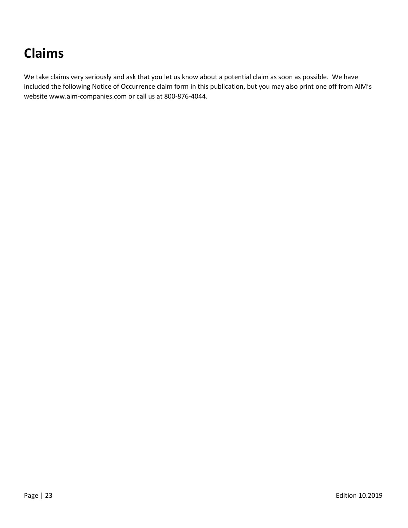# <span id="page-22-0"></span>**Claims**

We take claims very seriously and ask that you let us know about a potential claim as soon as possible. We have included the following Notice of Occurrence claim form in this publication, but you may also print one off from AIM's website www.aim-companies.com or call us at 800-876-4044.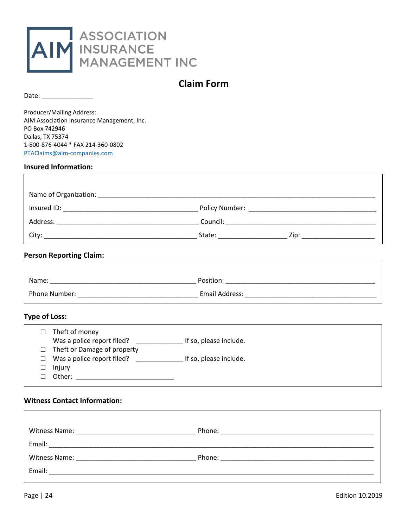

#### **Claim Form**

<span id="page-23-0"></span>Date: \_\_\_\_\_\_\_\_\_\_\_\_\_\_

Ï

Producer/Mailing Address: AIM Association Insurance Management, Inc. PO Box 742946 Dallas, TX 75374 1-800-876-4044 \* FAX 214-360-0802 [PTAClaims@aim-companies.com](mailto:PTAClaims@aim-companies.com)

#### **Insured Information:**

|         | Theft of money              |                        |
|---------|-----------------------------|------------------------|
|         | Was a police report filed?  | If so, please include. |
|         | Theft or Damage of property |                        |
| $\perp$ | Was a police report filed?  | If so, please include. |
|         | Injury                      |                        |
|         | Other:                      |                        |

#### **Witness Contact Information:**

| Phone:<br><u> 1980 - Jan Barnett, amerikansk politik (</u>                                                                               |
|------------------------------------------------------------------------------------------------------------------------------------------|
|                                                                                                                                          |
| Phone:<br><u> 1980 - Jan Samuel Barbara, margaret eta idazlea (h. 1982).</u><br>1900 - Jan Sarah Barbara, italiar eta idazlea (h. 1900). |
|                                                                                                                                          |
|                                                                                                                                          |

 $\Gamma$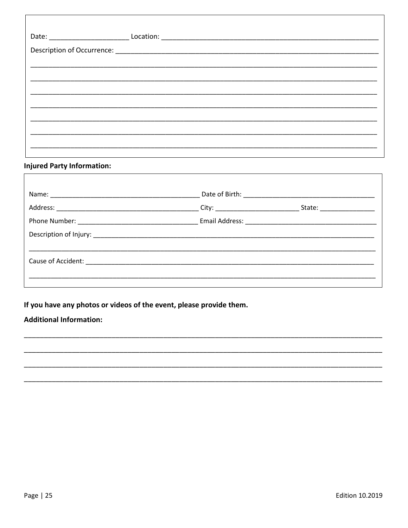#### **Injured Party Information:**

 $\Gamma$ 

|                                               |  | State: _________________ |  |  |
|-----------------------------------------------|--|--------------------------|--|--|
|                                               |  |                          |  |  |
| Description of Injury: Description of Injury: |  |                          |  |  |
|                                               |  |                          |  |  |
|                                               |  |                          |  |  |
|                                               |  |                          |  |  |
|                                               |  |                          |  |  |

If you have any photos or videos of the event, please provide them.

#### **Additional Information:**

٦